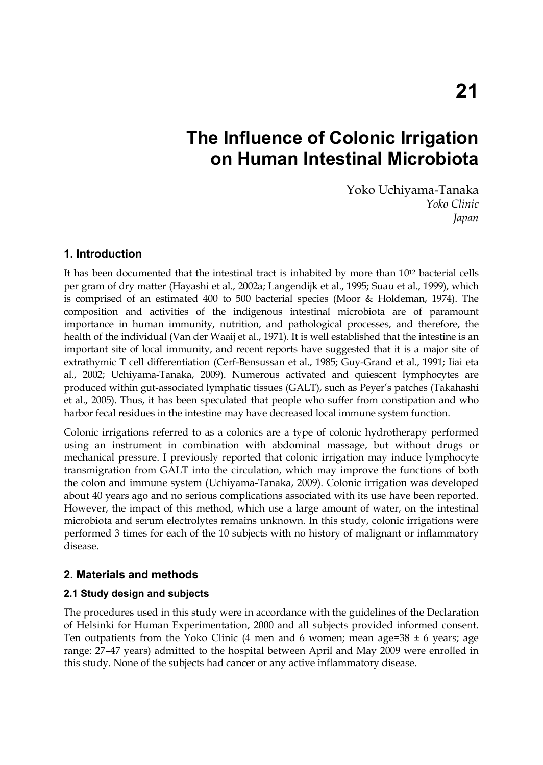# **The Influence of Colonic Irrigation on Human Intestinal Microbiota**

Yoko Uchiyama-Tanaka *Yoko Clinic Japan* 

#### **1. Introduction**

It has been documented that the intestinal tract is inhabited by more than 1012 bacterial cells per gram of dry matter (Hayashi et al., 2002a; Langendijk et al., 1995; Suau et al., 1999), which is comprised of an estimated 400 to 500 bacterial species (Moor & Holdeman, 1974). The composition and activities of the indigenous intestinal microbiota are of paramount importance in human immunity, nutrition, and pathological processes, and therefore, the health of the individual (Van der Waaij et al., 1971). It is well established that the intestine is an important site of local immunity, and recent reports have suggested that it is a major site of extrathymic T cell differentiation (Cerf-Bensussan et al., 1985; Guy-Grand et al., 1991; Iiai eta al., 2002; Uchiyama-Tanaka, 2009). Numerous activated and quiescent lymphocytes are produced within gut-associated lymphatic tissues (GALT), such as Peyer's patches (Takahashi et al., 2005). Thus, it has been speculated that people who suffer from constipation and who harbor fecal residues in the intestine may have decreased local immune system function.

Colonic irrigations referred to as a colonics are a type of colonic hydrotherapy performed using an instrument in combination with abdominal massage, but without drugs or mechanical pressure. I previously reported that colonic irrigation may induce lymphocyte transmigration from GALT into the circulation, which may improve the functions of both the colon and immune system (Uchiyama-Tanaka, 2009). Colonic irrigation was developed about 40 years ago and no serious complications associated with its use have been reported. However, the impact of this method, which use a large amount of water, on the intestinal microbiota and serum electrolytes remains unknown. In this study, colonic irrigations were performed 3 times for each of the 10 subjects with no history of malignant or inflammatory disease.

#### **2. Materials and methods**

#### **2.1 Study design and subjects**

The procedures used in this study were in accordance with the guidelines of the Declaration of Helsinki for Human Experimentation, 2000 and all subjects provided informed consent. Ten outpatients from the Yoko Clinic  $(4 \text{ men and } 6 \text{ women; mean age=38 } \pm 6 \text{ years; age})$ range: 27–47 years) admitted to the hospital between April and May 2009 were enrolled in this study. None of the subjects had cancer or any active inflammatory disease.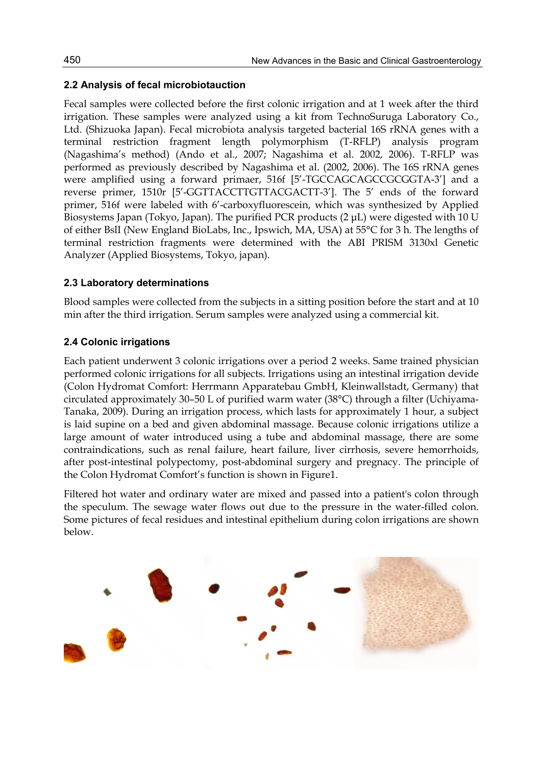### **2.2 Analysis of fecal microbiotauction**

Fecal samples were collected before the first colonic irrigation and at 1 week after the third irrigation. These samples were analyzed using a kit from TechnoSuruga Laboratory Co., Ltd. (Shizuoka Japan). Fecal microbiota analysis targeted bacterial 16S rRNA genes with a terminal restriction fragment length polymorphism (T-RFLP) analysis program (Nagashima's method) (Ando et al., 2007; Nagashima et al. 2002, 2006). T-RFLP was performed as previously described by Nagashima et al. (2002, 2006). The 16S rRNA genes were amplified using a forward primaer, 516f [5'-TGCCAGCAGCCGCGGTA-3'] and a reverse primer, 1510r [5'-GGTTACCTTGTTACGACTT-3']. The 5' ends of the forward primer, 516f were labeled with 6'-carboxyfluorescein, which was synthesized by Applied Biosystems Japan (Tokyo, Japan). The purified PCR products (2 μL) were digested with 10 U of either BslI (New England BioLabs, Inc., Ipswich, MA, USA) at 55°C for 3 h. The lengths of terminal restriction fragments were determined with the ABI PRISM 3130xl Genetic Analyzer (Applied Biosystems, Tokyo, japan).

# **2.3 Laboratory determinations**

Blood samples were collected from the subjects in a sitting position before the start and at 10 min after the third irrigation. Serum samples were analyzed using a commercial kit.

# **2.4 Colonic irrigations**

Each patient underwent 3 colonic irrigations over a period 2 weeks. Same trained physician performed colonic irrigations for all subjects. Irrigations using an intestinal irrigation devide (Colon Hydromat Comfort: Herrmann Apparatebau GmbH, Kleinwallstadt, Germany) that circulated approximately 30–50 L of purified warm water (38°C) through a filter (Uchiyama-Tanaka, 2009). During an irrigation process, which lasts for approximately 1 hour, a subject is laid supine on a bed and given abdominal massage. Because colonic irrigations utilize a large amount of water introduced using a tube and abdominal massage, there are some contraindications, such as renal failure, heart failure, liver cirrhosis, severe hemorrhoids, after post-intestinal polypectomy, post-abdominal surgery and pregnacy. The principle of the Colon Hydromat Comfort's function is shown in Figure1.

Filtered hot water and ordinary water are mixed and passed into a patient's colon through the speculum. The sewage water flows out due to the pressure in the water-filled colon. Some pictures of fecal residues and intestinal epithelium during colon irrigations are shown below.

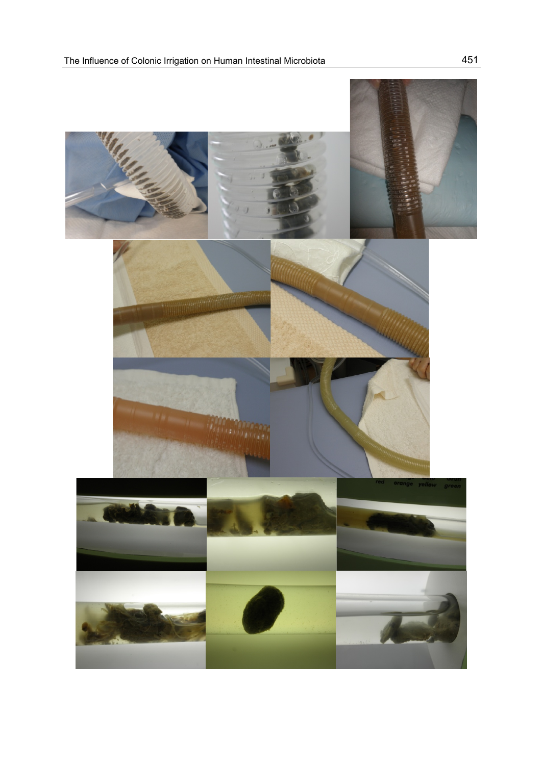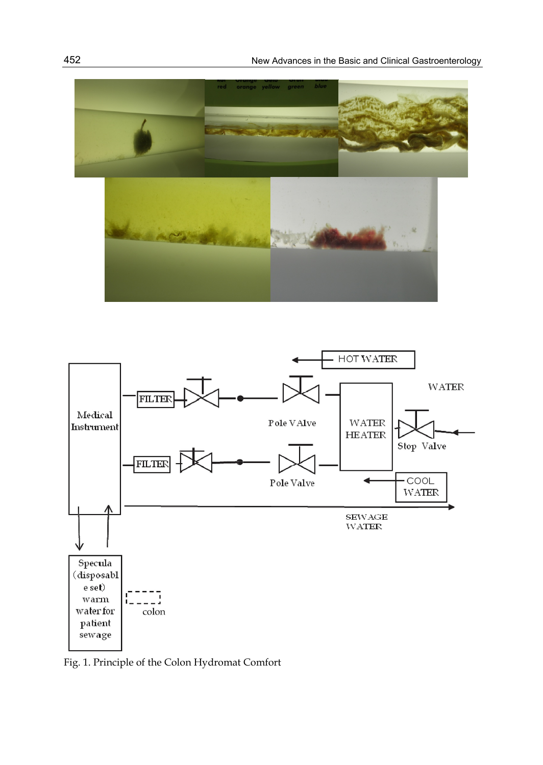



Fig. 1. Principle of the Colon Hydromat Comfort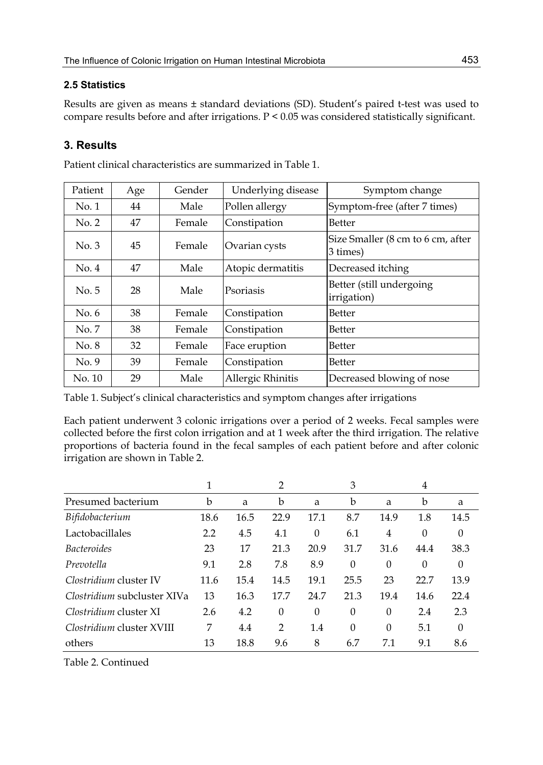#### **2.5 Statistics**

Results are given as means ± standard deviations (SD). Student's paired t-test was used to compare results before and after irrigations.  $P < 0.05$  was considered statistically significant.

# **3. Results**

| Patient | Age | Gender | Underlying disease | Symptom change                                |
|---------|-----|--------|--------------------|-----------------------------------------------|
| No. 1   | 44  | Male   | Pollen allergy     | Symptom-free (after 7 times)                  |
| No. 2   | 47  | Female | Constipation       | <b>Better</b>                                 |
| No. 3   | 45  | Female | Ovarian cysts      | Size Smaller (8 cm to 6 cm, after<br>3 times) |
| No. 4   | 47  | Male   | Atopic dermatitis  | Decreased itching                             |
| No. 5   | 28  | Male   | Psoriasis          | Better (still undergoing<br>irrigation)       |
| No. 6   | 38  | Female | Constipation       | <b>Better</b>                                 |
| No. 7   | 38  | Female | Constipation       | Better                                        |
| No. 8   | 32  | Female | Face eruption      | <b>Better</b>                                 |
| No.9    | 39  | Female | Constipation       | <b>Better</b>                                 |
| No. 10  | 29  | Male   | Allergic Rhinitis  | Decreased blowing of nose                     |

Patient clinical characteristics are summarized in Table 1.

Table 1. Subject's clinical characteristics and symptom changes after irrigations

Each patient underwent 3 colonic irrigations over a period of 2 weeks. Fecal samples were collected before the first colon irrigation and at 1 week after the third irrigation. The relative proportions of bacteria found in the fecal samples of each patient before and after colonic irrigation are shown in Table 2.

|                             | 1    |      | $\overline{2}$ |          | 3        |          | 4        |          |
|-----------------------------|------|------|----------------|----------|----------|----------|----------|----------|
| Presumed bacterium          | b    | a    | b              | a        | b        | a        | b        | a        |
| <i>Bifidobacterium</i>      | 18.6 | 16.5 | 22.9           | 17.1     | 8.7      | 14.9     | 1.8      | 14.5     |
| Lactobacillales             | 2.2  | 4.5  | 4.1            | $\Omega$ | 6.1      | 4        | $\Omega$ | $\Omega$ |
| <b>Bacteroides</b>          | 23   | 17   | 21.3           | 20.9     | 31.7     | 31.6     | 44.4     | 38.3     |
| Prevotella                  | 9.1  | 2.8  | 7.8            | 8.9      | $\Omega$ | $\Omega$ | $\Omega$ | $\Omega$ |
| Clostridium cluster IV      | 11.6 | 15.4 | 14.5           | 19.1     | 25.5     | 23       | 22.7     | 13.9     |
| Clostridium subcluster XIVa | 13   | 16.3 | 17.7           | 24.7     | 21.3     | 19.4     | 14.6     | 22.4     |
| Clostridium cluster XI      | 2.6  | 4.2  | $\Omega$       | $\Omega$ | $\theta$ | $\Omega$ | 2.4      | 2.3      |
| Clostridium cluster XVIII   | 7    | 4.4  | $\mathcal{P}$  | 1.4      | $\Omega$ | $\Omega$ | 5.1      | $\Omega$ |
| others                      | 13   | 18.8 | 9.6            | 8        | 6.7      | 7.1      | 9.1      | 8.6      |

Table 2. Continued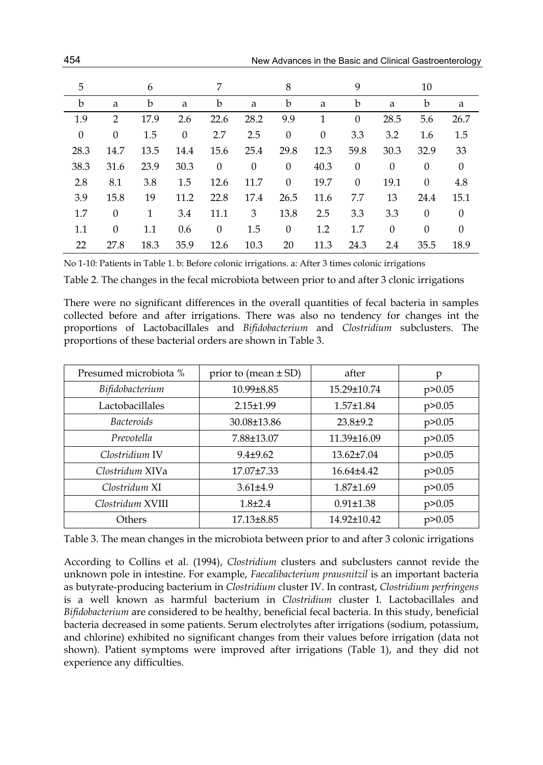| 5        |          | 6            |          | 7                |          | 8        |          | 9        |          | 10       |          |
|----------|----------|--------------|----------|------------------|----------|----------|----------|----------|----------|----------|----------|
| b        | a        | b            | a        | b                | a        | b        | a        | b        | a        | b        | a        |
| 1.9      | 2        | 17.9         | 2.6      | 22.6             | 28.2     | 9.9      | 1        | $\theta$ | 28.5     | 5.6      | 26.7     |
| $\theta$ | $\theta$ | 1.5          | $\theta$ | 2.7              | 2.5      | $\theta$ | $\theta$ | 3.3      | 3.2      | 1.6      | 1.5      |
| 28.3     | 14.7     | 13.5         | 14.4     | 15.6             | 25.4     | 29.8     | 12.3     | 59.8     | 30.3     | 32.9     | 33       |
| 38.3     | 31.6     | 23.9         | 30.3     | $\boldsymbol{0}$ | $\theta$ | $\theta$ | 40.3     | $\theta$ | $\theta$ | $\theta$ | $\theta$ |
| 2.8      | 8.1      | 3.8          | 1.5      | 12.6             | 11.7     | $\theta$ | 19.7     | $\theta$ | 19.1     | $\theta$ | 4.8      |
| 3.9      | 15.8     | 19           | 11.2     | 22.8             | 17.4     | 26.5     | 11.6     | 7.7      | 13       | 24.4     | 15.1     |
| 1.7      | $\Omega$ | $\mathbf{1}$ | 3.4      | 11.1             | 3        | 13.8     | 2.5      | 3.3      | 3.3      | $\theta$ | $\theta$ |
| 1.1      | $\Omega$ | 1.1          | 0.6      | $\boldsymbol{0}$ | 1.5      | $\theta$ | 1.2      | 1.7      | $\theta$ | $\theta$ | $\theta$ |
| 22       | 27.8     | 18.3         | 35.9     | 12.6             | 10.3     | 20       | 11.3     | 24.3     | 2.4      | 35.5     | 18.9     |

No 1-10: Patients in Table 1. b: Before colonic irrigations. a: After 3 times colonic irrigations

Table 2. The changes in the fecal microbiota between prior to and after 3 clonic irrigations

There were no significant differences in the overall quantities of fecal bacteria in samples collected before and after irrigations. There was also no tendency for changes int the proportions of Lactobacillales and *Bifidobacterium* and *Clostridium* subclusters. The proportions of these bacterial orders are shown in Table 3.

| Presumed microbiota % | prior to (mean $\pm$ SD) | after            | р        |  |
|-----------------------|--------------------------|------------------|----------|--|
| Bifidobacterium       | 10.99±8.85               | 15.29±10.74      | p > 0.05 |  |
| Lactobacillales       | $2.15 \pm 1.99$          | $1.57 + 1.84$    | p > 0.05 |  |
| <i>Bacteroids</i>     | 30.08±13.86              | $23.8+9.2$       | p > 0.05 |  |
| Prevotella            | 7.88±13.07               | 11.39±16.09      | p > 0.05 |  |
| Clostridium IV        | $9.4 + 9.62$             | $13.62 \pm 7.04$ | p > 0.05 |  |
| Clostridum XIVa       | 17.07±7.33               | $16.64\pm4.42$   | p > 0.05 |  |
| Clostridum XI         | $3.61\pm4.9$             | $1.87 \pm 1.69$  | p > 0.05 |  |
| Clostridum XVIII      | $1.8 + 2.4$              | $0.91 \pm 1.38$  | p > 0.05 |  |
| Others                | $17.13\pm8.85$           | 14.92±10.42      | p > 0.05 |  |

Table 3. The mean changes in the microbiota between prior to and after 3 colonic irrigations

According to Collins et al. (1994), *Clostridium* clusters and subclusters cannot revide the unknown pole in intestine. For example, *Faecalibacterium prausnitzil* is an important bacteria as butyrate-producing bacterium in *Clostridium* cluster IV. In contrast, *Clostridium perfringens* is a well known as harmful bacterium in *Clostridium* cluster I. Lactobacillales and *Bifidobacterium* are considered to be healthy, beneficial fecal bacteria. In this study, beneficial bacteria decreased in some patients. Serum electrolytes after irrigations (sodium, potassium, and chlorine) exhibited no significant changes from their values before irrigation (data not shown). Patient symptoms were improved after irrigations (Table 1), and they did not experience any difficulties.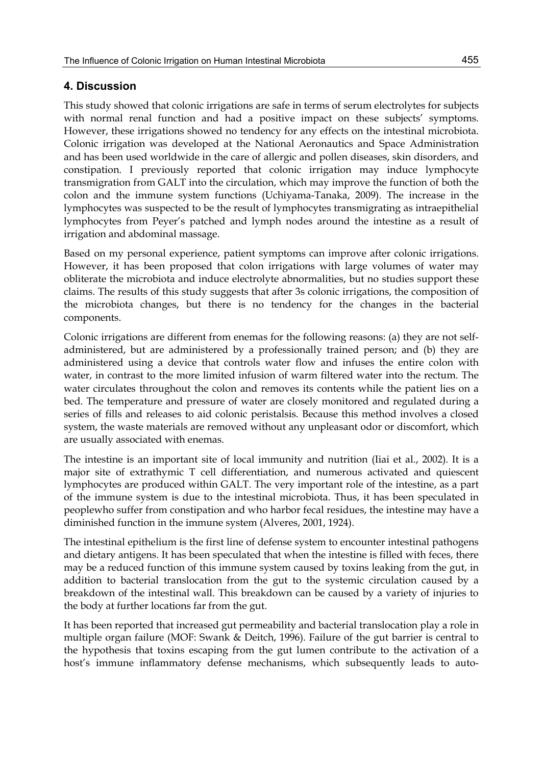# **4. Discussion**

This study showed that colonic irrigations are safe in terms of serum electrolytes for subjects with normal renal function and had a positive impact on these subjects' symptoms. However, these irrigations showed no tendency for any effects on the intestinal microbiota. Colonic irrigation was developed at the National Aeronautics and Space Administration and has been used worldwide in the care of allergic and pollen diseases, skin disorders, and constipation. I previously reported that colonic irrigation may induce lymphocyte transmigration from GALT into the circulation, which may improve the function of both the colon and the immune system functions (Uchiyama-Tanaka, 2009). The increase in the lymphocytes was suspected to be the result of lymphocytes transmigrating as intraepithelial lymphocytes from Peyer's patched and lymph nodes around the intestine as a result of irrigation and abdominal massage.

Based on my personal experience, patient symptoms can improve after colonic irrigations. However, it has been proposed that colon irrigations with large volumes of water may obliterate the microbiota and induce electrolyte abnormalities, but no studies support these claims. The results of this study suggests that after 3s colonic irrigations, the composition of the microbiota changes, but there is no tendency for the changes in the bacterial components.

Colonic irrigations are different from enemas for the following reasons: (a) they are not selfadministered, but are administered by a professionally trained person; and (b) they are administered using a device that controls water flow and infuses the entire colon with water, in contrast to the more limited infusion of warm filtered water into the rectum. The water circulates throughout the colon and removes its contents while the patient lies on a bed. The temperature and pressure of water are closely monitored and regulated during a series of fills and releases to aid colonic peristalsis. Because this method involves a closed system, the waste materials are removed without any unpleasant odor or discomfort, which are usually associated with enemas.

The intestine is an important site of local immunity and nutrition (Iiai et al., 2002). It is a major site of extrathymic T cell differentiation, and numerous activated and quiescent lymphocytes are produced within GALT. The very important role of the intestine, as a part of the immune system is due to the intestinal microbiota. Thus, it has been speculated in peoplewho suffer from constipation and who harbor fecal residues, the intestine may have a diminished function in the immune system (Alveres, 2001, 1924).

The intestinal epithelium is the first line of defense system to encounter intestinal pathogens and dietary antigens. It has been speculated that when the intestine is filled with feces, there may be a reduced function of this immune system caused by toxins leaking from the gut, in addition to bacterial translocation from the gut to the systemic circulation caused by a breakdown of the intestinal wall. This breakdown can be caused by a variety of injuries to the body at further locations far from the gut.

It has been reported that increased gut permeability and bacterial translocation play a role in multiple organ failure (MOF: Swank & Deitch, 1996). Failure of the gut barrier is central to the hypothesis that toxins escaping from the gut lumen contribute to the activation of a host's immune inflammatory defense mechanisms, which subsequently leads to auto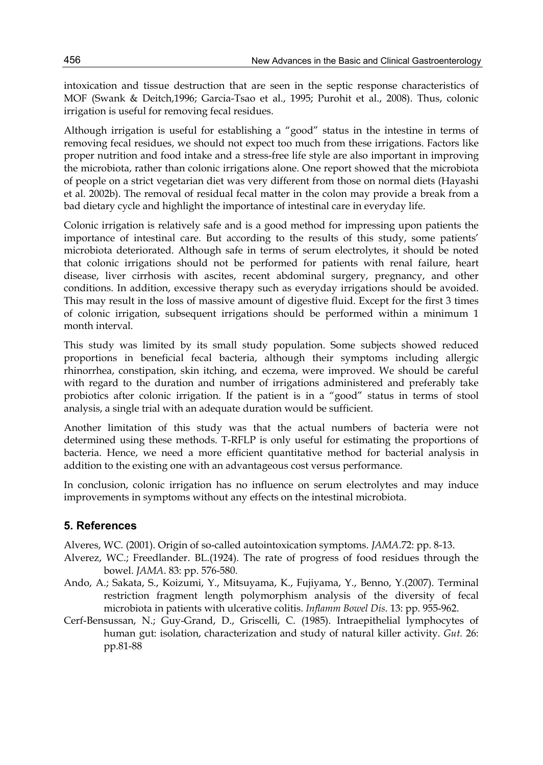intoxication and tissue destruction that are seen in the septic response characteristics of MOF (Swank & Deitch,1996; Garcia-Tsao et al., 1995; Purohit et al., 2008). Thus, colonic irrigation is useful for removing fecal residues.

Although irrigation is useful for establishing a "good" status in the intestine in terms of removing fecal residues, we should not expect too much from these irrigations. Factors like proper nutrition and food intake and a stress-free life style are also important in improving the microbiota, rather than colonic irrigations alone. One report showed that the microbiota of people on a strict vegetarian diet was very different from those on normal diets (Hayashi et al. 2002b). The removal of residual fecal matter in the colon may provide a break from a bad dietary cycle and highlight the importance of intestinal care in everyday life.

Colonic irrigation is relatively safe and is a good method for impressing upon patients the importance of intestinal care. But according to the results of this study, some patients' microbiota deteriorated. Although safe in terms of serum electrolytes, it should be noted that colonic irrigations should not be performed for patients with renal failure, heart disease, liver cirrhosis with ascites, recent abdominal surgery, pregnancy, and other conditions. In addition, excessive therapy such as everyday irrigations should be avoided. This may result in the loss of massive amount of digestive fluid. Except for the first 3 times of colonic irrigation, subsequent irrigations should be performed within a minimum 1 month interval.

This study was limited by its small study population. Some subjects showed reduced proportions in beneficial fecal bacteria, although their symptoms including allergic rhinorrhea, constipation, skin itching, and eczema, were improved. We should be careful with regard to the duration and number of irrigations administered and preferably take probiotics after colonic irrigation. If the patient is in a "good" status in terms of stool analysis, a single trial with an adequate duration would be sufficient.

Another limitation of this study was that the actual numbers of bacteria were not determined using these methods. T-RFLP is only useful for estimating the proportions of bacteria. Hence, we need a more efficient quantitative method for bacterial analysis in addition to the existing one with an advantageous cost versus performance.

In conclusion, colonic irrigation has no influence on serum electrolytes and may induce improvements in symptoms without any effects on the intestinal microbiota.

#### **5. References**

Alveres, WC. (2001). Origin of so-called autointoxication symptoms. *JAMA*.72: pp. 8-13.

- Alverez, WC.; Freedlander. BL.(1924). The rate of progress of food residues through the bowel. *JAMA*. 83: pp. 576-580.
- Ando, A.; Sakata, S., Koizumi, Y., Mitsuyama, K., Fujiyama, Y., Benno, Y.(2007). Terminal restriction fragment length polymorphism analysis of the diversity of fecal microbiota in patients with ulcerative colitis. *Inflamm Bowel Dis.* 13: pp. 955-962.
- Cerf-Bensussan, N.; Guy-Grand, D., Griscelli, C. (1985). Intraepithelial lymphocytes of human gut: isolation, characterization and study of natural killer activity. *Gut.* 26: pp.81-88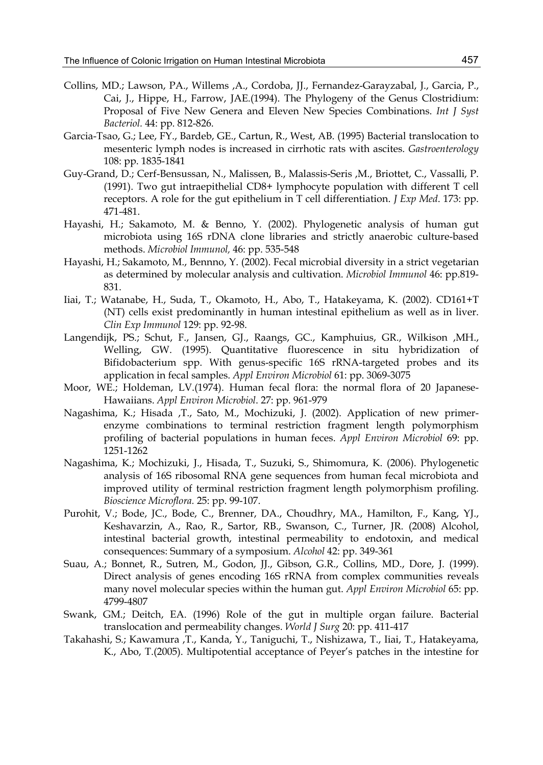- Collins, MD.; Lawson, PA., Willems ,A., Cordoba, JJ., Fernandez-Garayzabal, J., Garcia, P., Cai, J., Hippe, H., Farrow, JAE.(1994). The Phylogeny of the Genus Clostridium: Proposal of Five New Genera and Eleven New Species Combinations. *Int J Syst Bacteriol.* 44: pp. 812-826.
- Garcia-Tsao, G.; Lee, FY., Bardeb, GE., Cartun, R., West, AB. (1995) Bacterial translocation to mesenteric lymph nodes is increased in cirrhotic rats with ascites. *Gastroenterology*  108: pp. 1835-1841
- Guy-Grand, D.; Cerf-Bensussan, N., Malissen, B., Malassis-Seris ,M., Briottet, C., Vassalli, P. (1991). Two gut intraepithelial CD8+ lymphocyte population with different T cell receptors. A role for the gut epithelium in T cell differentiation. *J Exp Med*. 173: pp. 471-481.
- Hayashi, H.; Sakamoto, M. & Benno, Y. (2002). Phylogenetic analysis of human gut microbiota using 16S rDNA clone libraries and strictly anaerobic culture-based methods. *Microbiol Immunol,* 46: pp. 535-548
- Hayashi, H.; Sakamoto, M., Bennno, Y. (2002). Fecal microbial diversity in a strict vegetarian as determined by molecular analysis and cultivation. *Microbiol Immunol* 46: pp.819- 831.
- Iiai, T.; Watanabe, H., Suda, T., Okamoto, H., Abo, T., Hatakeyama, K. (2002). CD161+T (NT) cells exist predominantly in human intestinal epithelium as well as in liver. *Clin Exp Immunol* 129: pp. 92-98.
- Langendijk, PS.; Schut, F., Jansen, GJ., Raangs, GC., Kamphuius, GR., Wilkison ,MH., Welling, GW. (1995). Quantitative fluorescence in situ hybridization of Bifidobacterium spp. With genus-specific 16S rRNA-targeted probes and its application in fecal samples. *Appl Environ Microbiol* 61: pp. 3069-3075
- Moor, WE.; Holdeman, LV.(1974). Human fecal flora: the normal flora of 20 Japanese-Hawaiians. *Appl Environ Microbiol*. 27: pp. 961-979
- Nagashima, K.; Hisada ,T., Sato, M., Mochizuki, J. (2002). Application of new primerenzyme combinations to terminal restriction fragment length polymorphism profiling of bacterial populations in human feces. *Appl Environ Microbiol* 69: pp. 1251-1262
- Nagashima, K.; Mochizuki, J., Hisada, T., Suzuki, S., Shimomura, K. (2006). Phylogenetic analysis of 16S ribosomal RNA gene sequences from human fecal microbiota and improved utility of terminal restriction fragment length polymorphism profiling. *Bioscience Microflora.* 25: pp. 99-107.
- Purohit, V.; Bode, JC., Bode, C., Brenner, DA., Choudhry, MA., Hamilton, F., Kang, YJ., Keshavarzin, A., Rao, R., Sartor, RB., Swanson, C., Turner, JR. (2008) Alcohol, intestinal bacterial growth, intestinal permeability to endotoxin, and medical consequences: Summary of a symposium. *Alcohol* 42: pp. 349-361
- Suau, A.; Bonnet, R., Sutren, M., Godon, JJ., Gibson, G.R., Collins, MD., Dore, J. (1999). Direct analysis of genes encoding 16S rRNA from complex communities reveals many novel molecular species within the human gut. *Appl Environ Microbiol* 65: pp. 4799-4807
- Swank, GM.; Deitch, EA. (1996) Role of the gut in multiple organ failure. Bacterial translocation and permeability changes. *World J Surg* 20: pp. 411-417
- Takahashi, S.; Kawamura ,T., Kanda, Y., Taniguchi, T., Nishizawa, T., Iiai, T., Hatakeyama, K., Abo, T.(2005). Multipotential acceptance of Peyer's patches in the intestine for